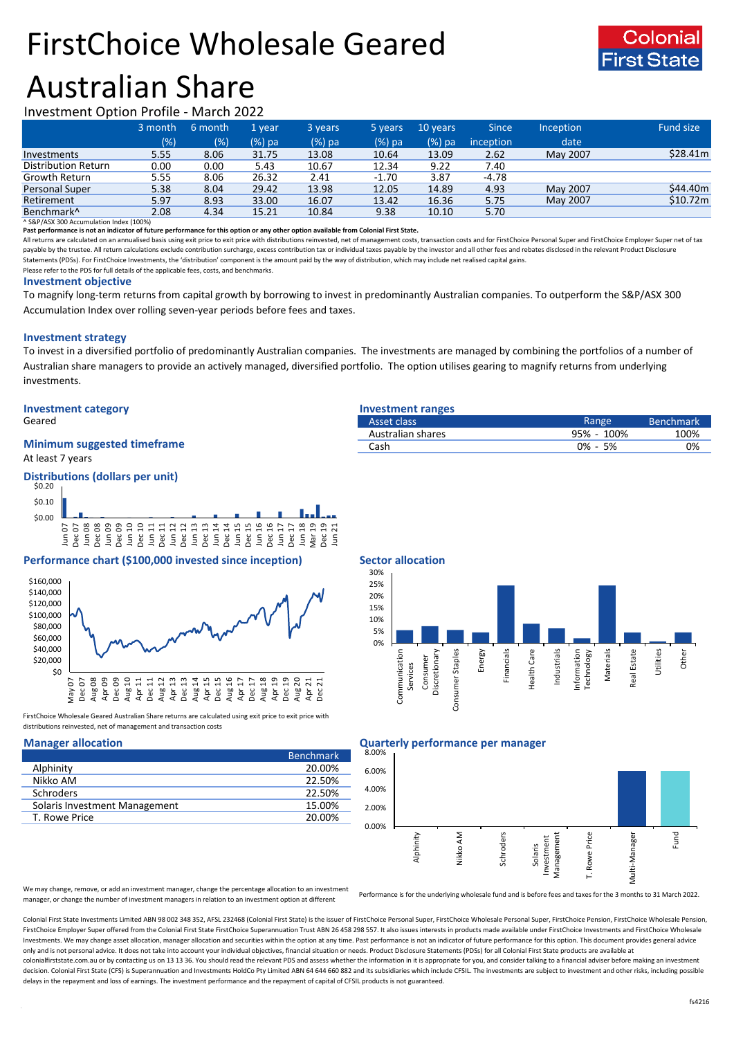# FirstChoice Wholesale Geared Australian Share



Investment Option Profile - March 2022

|                            | 3 month | 6 month | 1 year | 3 years | 5 years | 10 years | <b>Since</b> | Inception | Fund size |
|----------------------------|---------|---------|--------|---------|---------|----------|--------------|-----------|-----------|
|                            | (%)     | $(\% )$ | (%) pa | (%) pa  | (%) pa  | (%) pa   | inception    | date      |           |
| Investments                | 5.55    | 8.06    | 31.75  | 13.08   | 10.64   | 13.09    | 2.62         | May 2007  | \$28.41m  |
| <b>Distribution Return</b> | 0.00    | 0.00    | 5.43   | 10.67   | 12.34   | 9.22     | 7.40         |           |           |
| Growth Return              | 5.55    | 8.06    | 26.32  | 2.41    | $-1.70$ | 3.87     | $-4.78$      |           |           |
| <b>Personal Super</b>      | 5.38    | 8.04    | 29.42  | 13.98   | 12.05   | 14.89    | 4.93         | May 2007  | \$44.40m  |
| Retirement                 | 5.97    | 8.93    | 33.00  | 16.07   | 13.42   | 16.36    | 5.75         | May 2007  | \$10.72m  |
| Benchmark <sup>^</sup>     | 2.08    | 4.34    | 15.21  | 10.84   | 9.38    | 10.10    | 5.70         |           |           |

^ S&P/ASX 300 Accumulation Index (100%)

**Past performance is not an indicator of future performance for this option or any other option available from Colonial First State.**

All returns are calculated on an annualised basis using exit price to exit price with distributions reinvested, net of management costs, transaction costs and for FirstChoice Personal Super and FirstChoice Employer Super n payable by the trustee. All return calculations exclude contribution surcharge, excess contribution tax or individual taxes payable by the investor and all other fees and rebates disclosed in the relevant Product Disclosur Statements (PDSs). For FirstChoice Investments, the 'distribution' component is the amount paid by the way of distribution, which may include net realised capital gains.

Please refer to the PDS for full details of the applicable fees, costs, and benchmarks.

#### **Investment objective**

To magnify long-term returns from capital growth by borrowing to invest in predominantly Australian companies. To outperform the S&P/ASX 300 Accumulation Index over rolling seven-year periods before fees and taxes.

# **Investment strategy**

To invest in a diversified portfolio of predominantly Australian companies. The investments are managed by combining the portfolios of a number of Australian share managers to provide an actively managed, diversified portfolio. The option utilises gearing to magnify returns from underlying investments.

# **Investment category Investment ranges**

### At least 7 years **Minimum suggested timeframe**

# **Distributions (dollars per unit)**



# **Performance chart (\$100,000 invested since inception) Sector allocation**



FirstChoice Wholesale Geared Australian Share returns are calculated using exit price to exit price with distributions reinvested, net of management and transaction costs

|                               | <b>Benchmark</b> |
|-------------------------------|------------------|
| Alphinity                     | 20.00%           |
| Nikko AM                      | 22.50%           |
| <b>Schroders</b>              | 22.50%           |
| Solaris Investment Management | 15.00%           |
| T. Rowe Price                 | 20.00%           |

| Geared                             | Asset class       | Range         | <b>Benchmark</b> |
|------------------------------------|-------------------|---------------|------------------|
|                                    | Australian shares | 100%<br>95% - | 100%             |
| <b>Minimum suggested timeframe</b> | Cash              | 0% - 5%       | 0%               |
| $\cdots$                           |                   |               |                  |



### **Manager allocation Quarterly performance per manager**



We may change, remove, or add an investment manager, change the percentage allocation to an investment manager, or change the number of investment managers in relation to an investment option at different

Performance is for the underlying wholesale fund and is before fees and taxes for the 3 months to 31 March 2022.

Colonial First State Investments Limited ABN 98 002 348 352, AFSL 232468 (Colonial First State) is the issuer of FirstChoice Personal Super, FirstChoice Wholesale Personal Super, FirstChoice Personal Super, FirstChoice Who FirstChoice Employer Super offered from the Colonial First State FirstChoice Superannuation Trust ABN 26 458 298 557. It also issues interests in products made available under FirstChoice Investments and FirstChoice Wholes Investments. We may change asset allocation, manager allocation and securities within the option at any time. Past performance is not an indicator of future performance for this option. This document provides general advic only and is not personal advice. It does not take into account your individual objectives, financial situation or needs. Product Disclosure Statements (PDSs) for all Colonial First State products are available at colonialfirststate.com.au or by contacting us on 13 13 36. You should read the relevant PDS and assess whether the information in it is appropriate for you, and consider talking to a financial adviser before making an inve decision. Colonial First State (CFS) is Superannuation and Investments HoldCo Pty Limited ABN 64 644 660 882 and its subsidiaries which include CFSIL. The investments are subject to investment and other risks, including po delays in the repayment and loss of earnings. The investment performance and the repayment of capital of CFSIL products is not guaranteed.